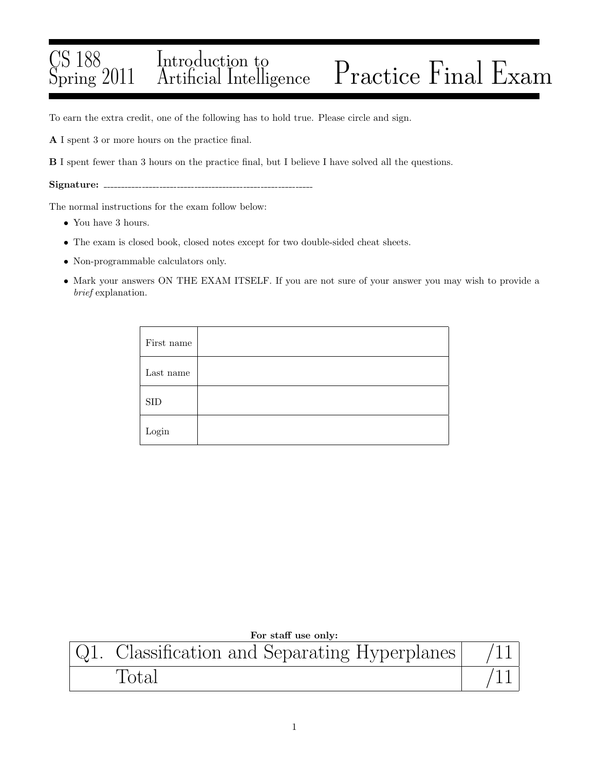## CS 188 Spring 2011 Introduction to Practice Final Exam

To earn the extra credit, one of the following has to hold true. Please circle and sign.

A I spent 3 or more hours on the practice final.

B I spent fewer than 3 hours on the practice final, but I believe I have solved all the questions.

Signature:

The normal instructions for the exam follow below:

- You have 3 hours.
- The exam is closed book, closed notes except for two double-sided cheat sheets.
- Non-programmable calculators only.
- Mark your answers ON THE EXAM ITSELF. If you are not sure of your answer you may wish to provide a brief explanation.

| First name  |  |
|-------------|--|
| Last name   |  |
| ${\rm SID}$ |  |
| Login       |  |

| For staff use only: |                                           |  |
|---------------------|-------------------------------------------|--|
|                     | Classification and Separating Hyperplanes |  |
|                     | Total                                     |  |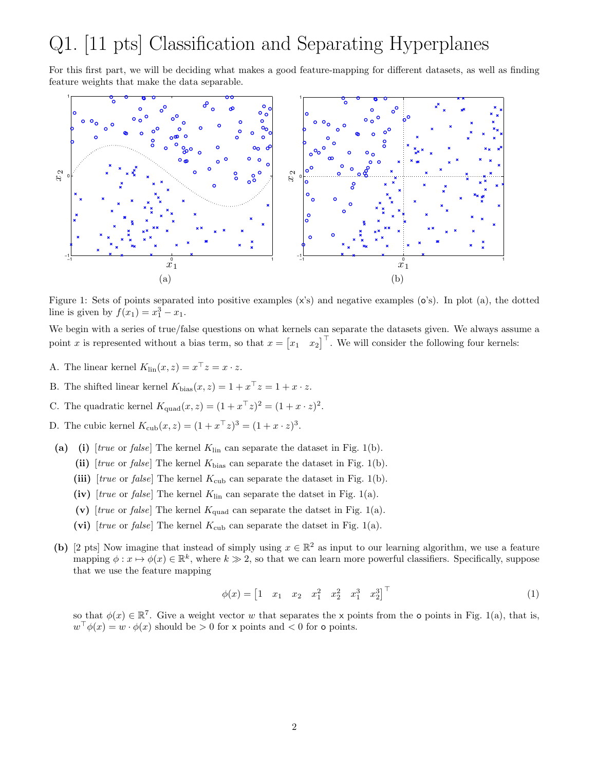## Q1. [11 pts] Classification and Separating Hyperplanes

For this first part, we will be deciding what makes a good feature-mapping for different datasets, as well as finding feature weights that make the data separable.



Figure 1: Sets of points separated into positive examples (x's) and negative examples (o's). In plot (a), the dotted line is given by  $f(x_1) = x_1^3 - x_1$ .

We begin with a series of true/false questions on what kernels can separate the datasets given. We always assume a point x is represented without a bias term, so that  $x = \begin{bmatrix} x_1 & x_2 \end{bmatrix}^\top$ . We will consider the following four kernels:

- A. The linear kernel  $K_{\text{lin}}(x, z) = x^{\top} z = x \cdot z$ .
- B. The shifted linear kernel  $K_{\text{bias}}(x, z) = 1 + x^{\top} z = 1 + x \cdot z$ .
- C. The quadratic kernel  $K_{\text{quad}}(x, z) = (1 + x^{\top}z)^2 = (1 + x \cdot z)^2$ .
- D. The cubic kernel  $K_{\text{cub}}(x, z) = (1 + x^{\top}z)^3 = (1 + x \cdot z)^3$ .
- (a) (i) [true or false] The kernel  $K_{lin}$  can separate the dataset in Fig. 1(b).
	- (ii)  $[true \text{ or } false]$  The kernel  $K_{bias}$  can separate the dataset in Fig. 1(b).
	- (iii) [true or false] The kernel  $K_{\text{cub}}$  can separate the dataset in Fig. 1(b).
	- (iv) [true or false] The kernel  $K_{lin}$  can separate the datset in Fig. 1(a).
	- (v) [true or false] The kernel  $K_{quad}$  can separate the datset in Fig. 1(a).
	- (vi) [true or false] The kernel  $K_{\text{cub}}$  can separate the datset in Fig. 1(a).
- (b) [2 pts] Now imagine that instead of simply using  $x \in \mathbb{R}^2$  as input to our learning algorithm, we use a feature mapping  $\phi: x \mapsto \phi(x) \in \mathbb{R}^k$ , where  $k \gg 2$ , so that we can learn more powerful classifiers. Specifically, suppose that we use the feature mapping

$$
\phi(x) = \begin{bmatrix} 1 & x_1 & x_2 & x_1^2 & x_2^2 & x_1^3 & x_2^3 \end{bmatrix}^\top \tag{1}
$$

so that  $\phi(x) \in \mathbb{R}^7$ . Give a weight vector w that separates the x points from the **o** points in Fig. 1(a), that is,  $w^{\top} \phi(x) = w \cdot \phi(x)$  should be  $> 0$  for x points and  $< 0$  for o points.